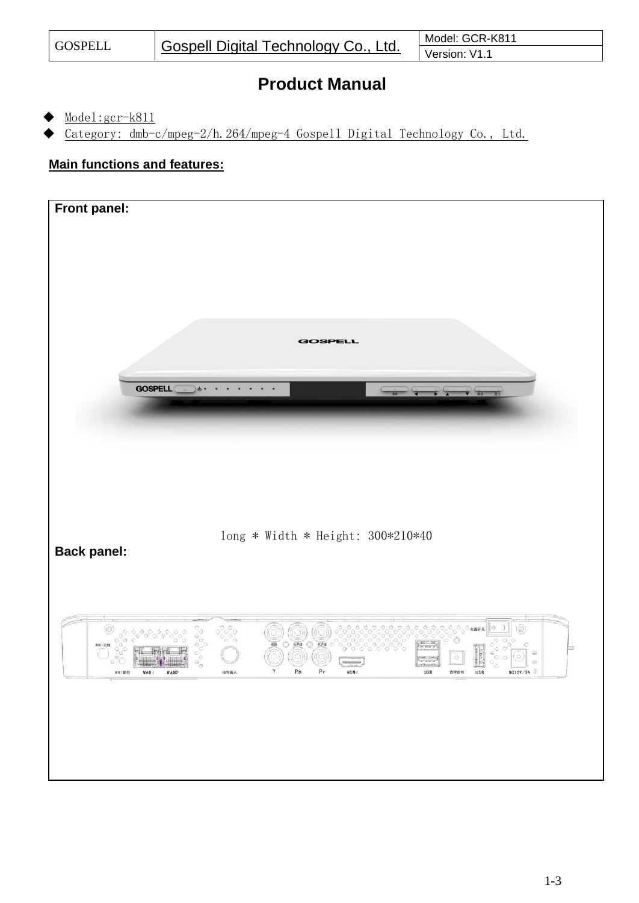## **Product Manual**

- Model:gcr-k811
- Category: dmb-c/mpeg-2/h.264/mpeg-4 Gospell Digital Technology Co., Ltd.

## **Main functions and features:**

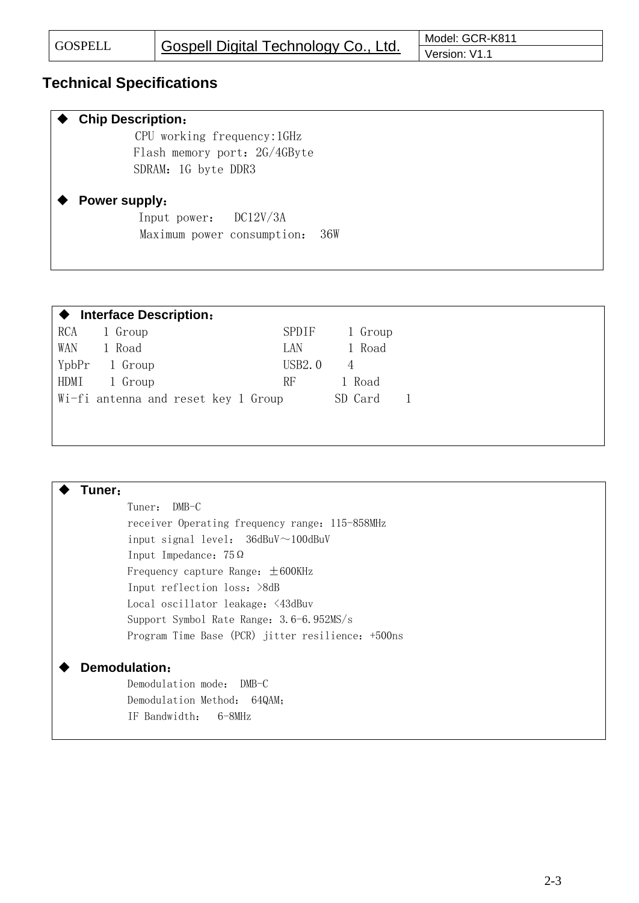$\mathsf{r}$ 

## **Technical Specifications**

| <b>Chip Description:</b>          |
|-----------------------------------|
| CPU working frequency: 1GHz       |
| Flash memory port: 2G/4GByte      |
| SDRAM: 1G byte DDR3               |
|                                   |
| <b>Power supply:</b>              |
| Input power: DC12V/3A             |
| Maximum power consumption:<br>36W |
|                                   |
|                                   |

|      | ♦ Interface Description:            |        |         |  |
|------|-------------------------------------|--------|---------|--|
| RCA  | 1 Group                             | SPDIF  | 1 Group |  |
| WAN. | 1 Road                              | LAN.   | 1 Road  |  |
|      | YpbPr 1 Group                       | USB2.0 |         |  |
| HDMI | 1 Group                             | RF     | 1 Road  |  |
|      | Wi-fi antenna and reset key 1 Group |        | SD Card |  |

| Tuner:                                            |
|---------------------------------------------------|
| $DMB-C$<br>Tuner:                                 |
| receiver Operating frequency range: 115-858MHz    |
| input signal level: $36dBuV \sim 100dBuV$         |
| Input Impedance: $75\Omega$                       |
| Frequency capture Range: $\pm 600$ KHz            |
| Input reflection loss: >8dB                       |
| Local oscillator leakage: <43dBuv                 |
| Support Symbol Rate Range: 3.6-6.952MS/s          |
| Program Time Base (PCR) jitter resilience: +500ns |
| Demodulation:                                     |
| Demodulation mode: DMB-C                          |
| Demodulation Method: 64QAM;                       |
| IF Bandwidth:<br>6-8MHz                           |